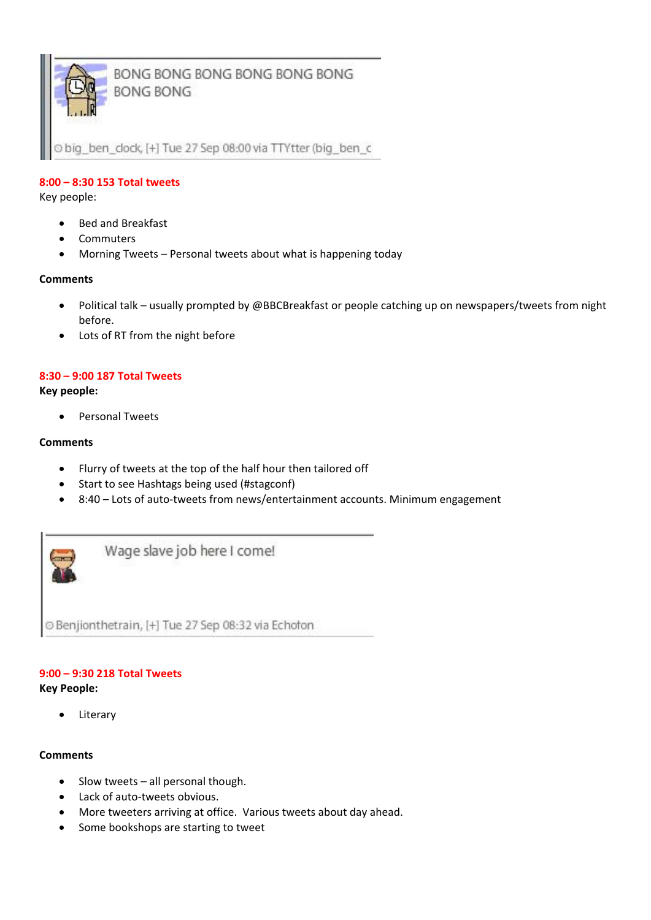

BONG BONG BONG BONG BONG BONG **BONG BONG** 

big\_ben\_dock, [+] Tue 27 Sep 08:00 via TTYtter (big\_ben\_c

## **8:00 – 8:30 153 Total tweets**

Key people:

- Bed and Breakfast
- Commuters
- Morning Tweets Personal tweets about what is happening today

#### **Comments**

- Political talk usually prompted by @BBCBreakfast or people catching up on newspapers/tweets from night before.
- Lots of RT from the night before

#### **8:30 – 9:00 187 Total Tweets**

**Key people:**

• Personal Tweets

## **Comments**

- Flurry of tweets at the top of the half hour then tailored off
- Start to see Hashtags being used (#stagconf)
- 8:40 Lots of auto-tweets from news/entertainment accounts. Minimum engagement



Wage slave job here I come!

© Benjionthetrain, [+] Tue 27 Sep 08:32 via Echofon

## **9:00 – 9:30 218 Total Tweets**

#### **Key People:**

Literary

#### **Comments**

- $\bullet$  Slow tweets all personal though.
- Lack of auto-tweets obvious.
- More tweeters arriving at office. Various tweets about day ahead.
- Some bookshops are starting to tweet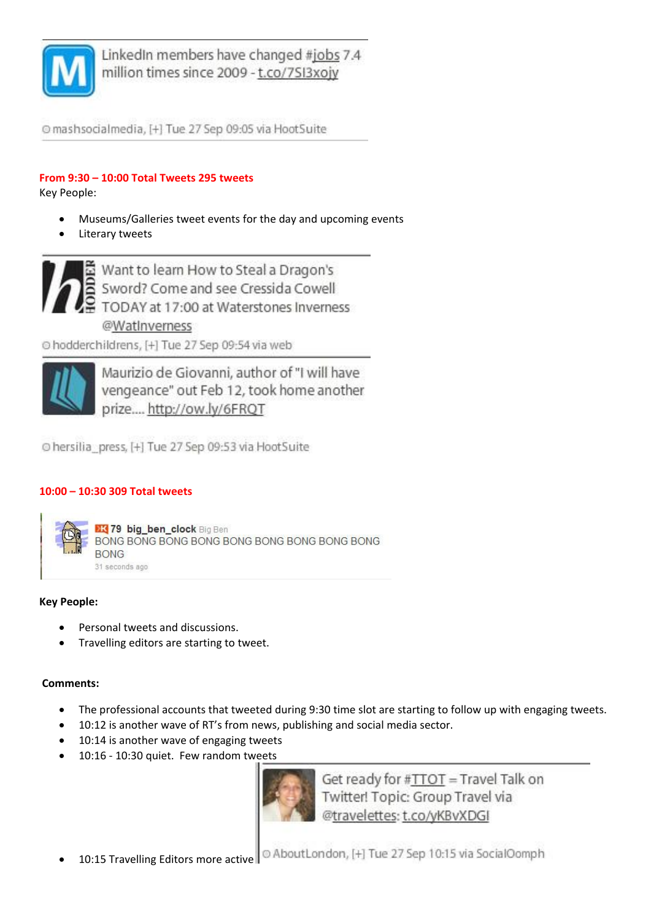

LinkedIn members have changed #jobs 7.4 million times since 2009 - t.co/7SI3xojy

O mashsocialmedia, [+] Tue 27 Sep 09:05 via HootSuite

## **From 9:30 – 10:00 Total Tweets 295 tweets**

Key People:

- Museums/Galleries tweet events for the day and upcoming events
- Literary tweets



C hodderchildrens, [+] Tue 27 Sep 09:54 via web



Maurizio de Giovanni, author of "I will have vengeance" out Feb 12, took home another prize.... http://ow.ly/6FRQT

O hersilia\_press, [+] Tue 27 Sep 09:53 via HootSuite

## **10:00 – 10:30 309 Total tweets**



## **Key People:**

- Personal tweets and discussions.
- Travelling editors are starting to tweet.

## **Comments:**

- The professional accounts that tweeted during 9:30 time slot are starting to follow up with engaging tweets.
- 10:12 is another wave of RT's from news, publishing and social media sector.
- 10:14 is another wave of engaging tweets
- 10:16 10:30 quiet. Few random tweets



Get ready for #TTOT = Travel Talk on Twitter! Topic: Group Travel via @travelettes: t.co/yKBvXDGI

© AboutLondon, [+] Tue 27 Sep 10:15 via SocialOomph 10:15 Travelling Editors more active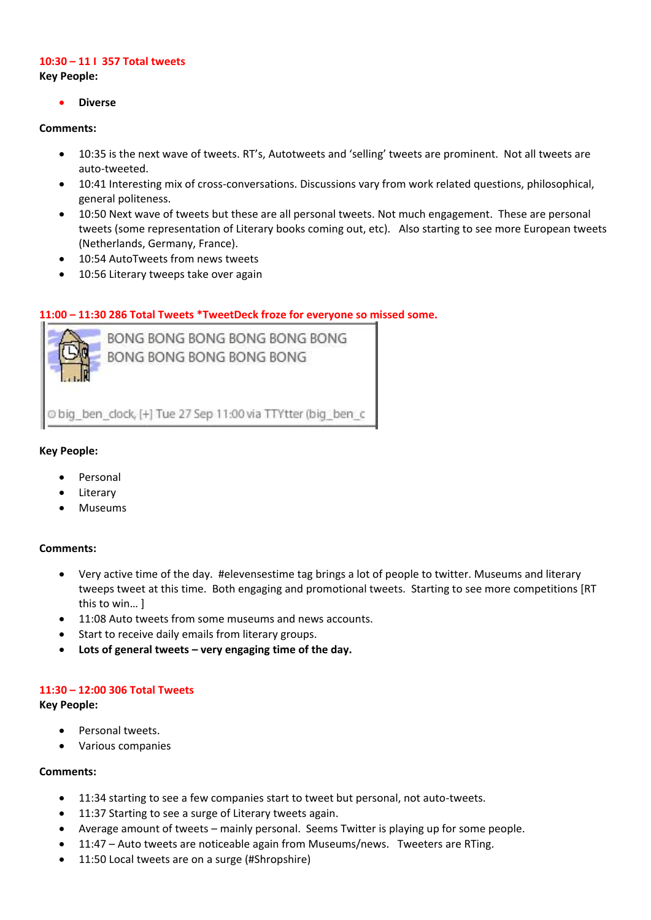## **10:30 – 11 I 357 Total tweets**

**Key People:**

**Diverse**

#### **Comments:**

- 10:35 is the next wave of tweets. RT's, Autotweets and 'selling' tweets are prominent. Not all tweets are auto-tweeted.
- 10:41 Interesting mix of cross-conversations. Discussions vary from work related questions, philosophical, general politeness.
- 10:50 Next wave of tweets but these are all personal tweets. Not much engagement. These are personal tweets (some representation of Literary books coming out, etc). Also starting to see more European tweets (Netherlands, Germany, France).
- 10:54 AutoTweets from news tweets
- 10:56 Literary tweeps take over again

## **11:00 – 11:30 286 Total Tweets \*TweetDeck froze for everyone so missed some.**



Obig ben clock, [+] Tue 27 Sep 11:00 via TTYtter (big ben c

#### **Key People:**

- Personal
- Literary
- Museums

#### **Comments:**

- Very active time of the day. #elevensestime tag brings a lot of people to twitter. Museums and literary tweeps tweet at this time. Both engaging and promotional tweets. Starting to see more competitions [RT this to win… ]
- 11:08 Auto tweets from some museums and news accounts.
- Start to receive daily emails from literary groups.
- **Lots of general tweets – very engaging time of the day.**

#### **11:30 – 12:00 306 Total Tweets**

#### **Key People:**

- Personal tweets.
- Various companies

#### **Comments:**

- 11:34 starting to see a few companies start to tweet but personal, not auto-tweets.
- 11:37 Starting to see a surge of Literary tweets again.
- Average amount of tweets mainly personal. Seems Twitter is playing up for some people.
- 11:47 Auto tweets are noticeable again from Museums/news. Tweeters are RTing.
- 11:50 Local tweets are on a surge (#Shropshire)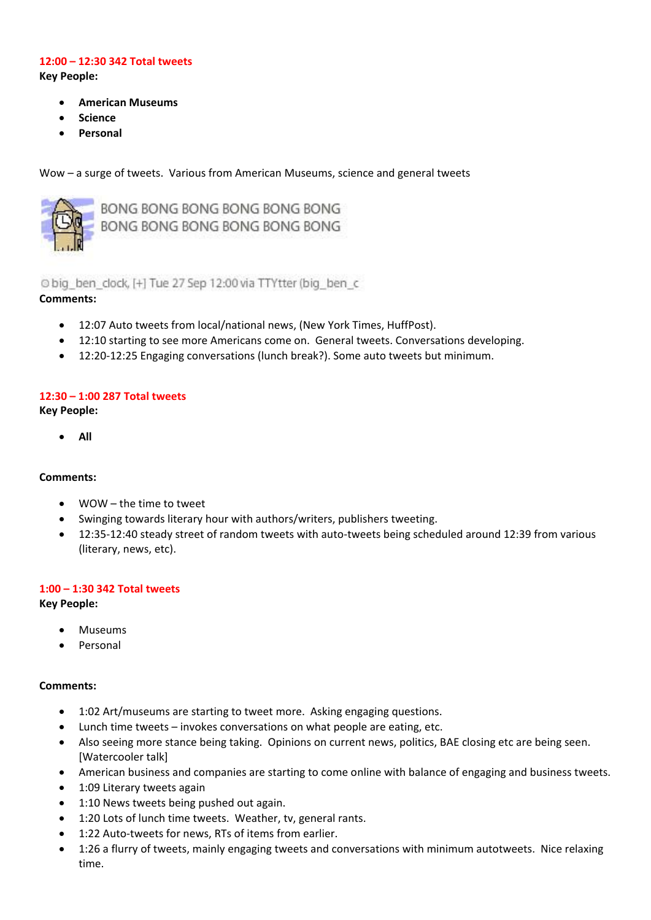#### **12:00 – 12:30 342 Total tweets Key People:**

- **American Museums**
- **Science**
- **Personal**

Wow – a surge of tweets. Various from American Museums, science and general tweets



BONG BONG BONG BONG BONG BONG BONG BONG BONG BONG BONG BONG

O big ben clock, [+] Tue 27 Sep 12:00 via TTYtter (big ben c

#### **Comments:**

- 12:07 Auto tweets from local/national news, (New York Times, HuffPost).
- 12:10 starting to see more Americans come on. General tweets. Conversations developing.
- 12:20-12:25 Engaging conversations (lunch break?). Some auto tweets but minimum.

#### **12:30 – 1:00 287 Total tweets**

**Key People:**

**All**

#### **Comments:**

- WOW the time to tweet
- Swinging towards literary hour with authors/writers, publishers tweeting.
- 12:35-12:40 steady street of random tweets with auto-tweets being scheduled around 12:39 from various (literary, news, etc).

#### **1:00 – 1:30 342 Total tweets**

#### **Key People:**

- Museums
- Personal

#### **Comments:**

- 1:02 Art/museums are starting to tweet more. Asking engaging questions.
- Lunch time tweets invokes conversations on what people are eating, etc.
- Also seeing more stance being taking. Opinions on current news, politics, BAE closing etc are being seen. [Watercooler talk]
- American business and companies are starting to come online with balance of engaging and business tweets.
- 1:09 Literary tweets again
- 1:10 News tweets being pushed out again.
- 1:20 Lots of lunch time tweets. Weather, tv, general rants.
- 1:22 Auto-tweets for news, RTs of items from earlier.
- 1:26 a flurry of tweets, mainly engaging tweets and conversations with minimum autotweets. Nice relaxing time.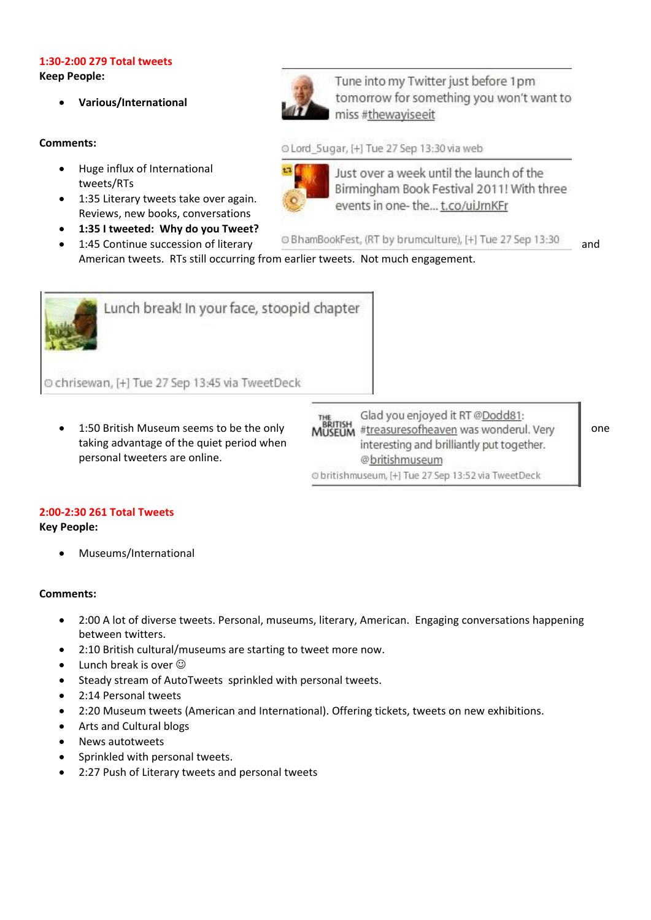# **1:30-2:00 279 Total tweets**

**Keep People:**

**Various/International**

#### **Comments:**

- Huge influx of International tweets/RTs
- 1:35 Literary tweets take over again. Reviews, new books, conversations
- **1:35 I tweeted: Why do you Tweet?**

Tune into my Twitter just before 1pm tomorrow for something you won't want to miss #thewaviseeit

O Lord Sugar, [+] Tue 27 Sep 13:30 via web



Just over a week until the launch of the Birmingham Book Festival 2011! With three events in one-the... t.co/uiJmKFr

1:45 Continue succession of literary **DE** BhamBookFest, (RT by brumculture), [+] Tue 27 Sep 13:30 and

American tweets. RTs still occurring from earlier tweets. Not much engagement.



taking advantage of the quiet period when personal tweeters are online.

Glad you enjoyed it RT @Dodd81: 1:50 British Museum seems to be the only<br>1.50 British Museum seems to be the only **MUSEUM** #treasuresofheaven was wonderul. Very one interesting and brilliantly put together. @britishmuseum O britishmuseum, [+] Tue 27 Sep 13:52 via TweetDeck

## **2:00-2:30 261 Total Tweets**

**Key People:**

Museums/International

## **Comments:**

- 2:00 A lot of diverse tweets. Personal, museums, literary, American. Engaging conversations happening between twitters.
- 2:10 British cultural/museums are starting to tweet more now.
- Lunch break is over  $\odot$
- Steady stream of AutoTweets sprinkled with personal tweets.
- 2:14 Personal tweets
- 2:20 Museum tweets (American and International). Offering tickets, tweets on new exhibitions.
- Arts and Cultural blogs
- News autotweets
- Sprinkled with personal tweets.
- 2:27 Push of Literary tweets and personal tweets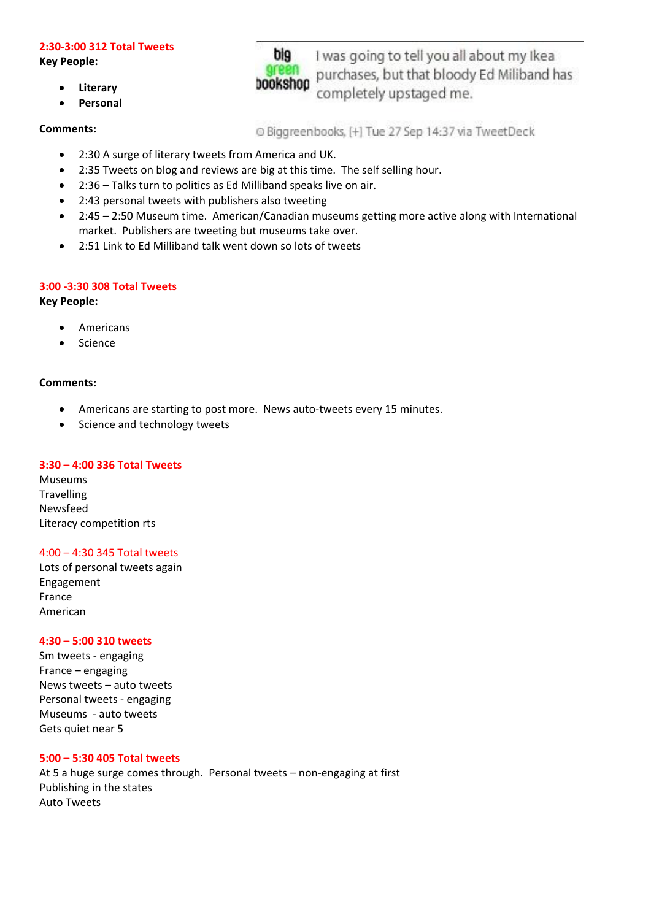#### **2:30-3:00 312 Total Tweets**

**Key People:**

- **Literary**
- **Personal**

#### **Comments:**

© Biggreenbooks, [+] Tue 27 Sep 14:37 via TweetDeck

completely upstaged me.

I was going to tell you all about my Ikea

purchases, but that bloody Ed Miliband has

- 2:30 A surge of literary tweets from America and UK.
- 2:35 Tweets on blog and reviews are big at this time. The self selling hour.
- 2:36 Talks turn to politics as Ed Milliband speaks live on air.
- 2:43 personal tweets with publishers also tweeting
- 2:45 2:50 Museum time. American/Canadian museums getting more active along with International market. Publishers are tweeting but museums take over.
- 2:51 Link to Ed Milliband talk went down so lots of tweets

#### **3:00 -3:30 308 Total Tweets**

**Key People:**

- Americans
- Science

#### **Comments:**

- Americans are starting to post more. News auto-tweets every 15 minutes.
- Science and technology tweets

#### **3:30 – 4:00 336 Total Tweets**

Museums **Travelling** Newsfeed Literacy competition rts

#### 4:00 – 4:30 345 Total tweets

Lots of personal tweets again Engagement France American

#### **4:30 – 5:00 310 tweets**

Sm tweets - engaging France – engaging News tweets – auto tweets Personal tweets - engaging Museums - auto tweets Gets quiet near 5

#### **5:00 – 5:30 405 Total tweets**

At 5 a huge surge comes through. Personal tweets – non-engaging at first Publishing in the states Auto Tweets

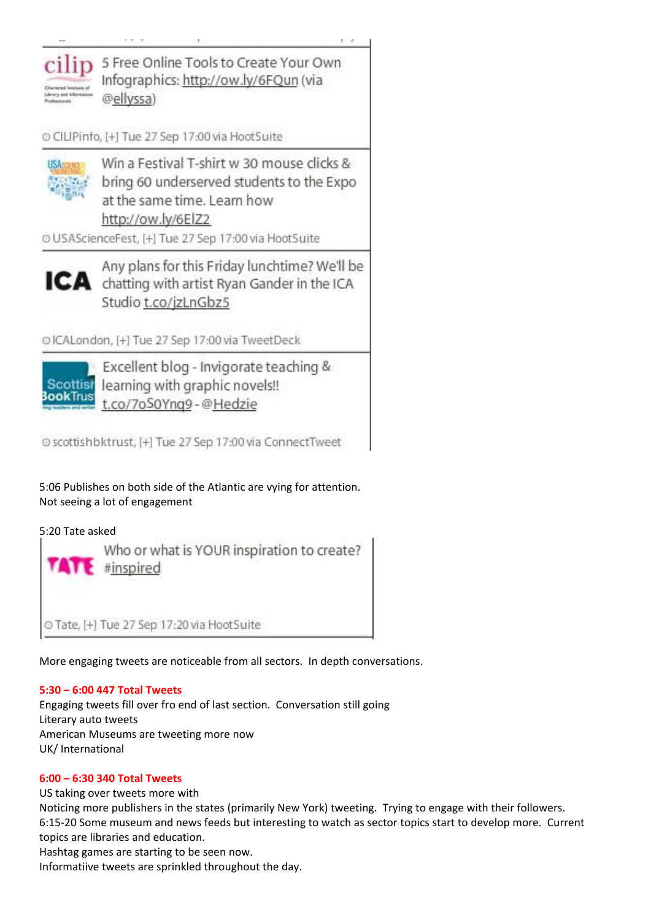

C CILIPinfo, [+] Tue 27 Sep 17:00 via HootSuite



Win a Festival T-shirt w 30 mouse clicks & bring 60 underserved students to the Expo at the same time. Learn how http://ow.ly/6ElZ2

O USAScienceFest, [+] Tue 27 Sep 17:00 via HootSuite



Any plans for this Friday lunchtime? We'll be ICA chatting with artist Ryan Gander in the ICA Studio t.co/jzLnGbz5

O ICALondon, [+] Tue 27 Sep 17:00 via TweetDeck



Excellent blog - Invigorate teaching & Scottish learning with graphic novels!! t.co/7oS0Yng9-@Hedzie

© scottishbktrust, [+] Tue 27 Sep 17:00 via ConnectTweet

5:06 Publishes on both side of the Atlantic are vying for attention. Not seeing a lot of engagement

## 5:20 Tate asked



More engaging tweets are noticeable from all sectors. In depth conversations.

## **5:30 – 6:00 447 Total Tweets**

Engaging tweets fill over fro end of last section. Conversation still going Literary auto tweets American Museums are tweeting more now UK/ International

## **6:00 – 6:30 340 Total Tweets**

US taking over tweets more with Noticing more publishers in the states (primarily New York) tweeting. Trying to engage with their followers. 6:15-20 Some museum and news feeds but interesting to watch as sector topics start to develop more. Current topics are libraries and education. Hashtag games are starting to be seen now.

Informatiive tweets are sprinkled throughout the day.